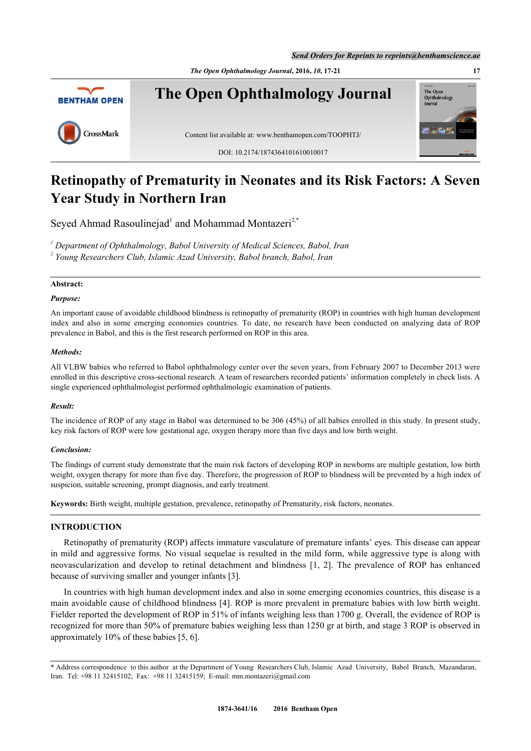*Send Orders for Reprints to reprints@benthamscience.ae*



# **Retinopathy of Prematurity in Neonates and its Risk Factors: A Seven Year Study in Northern Iran**

Seyed Ahmad Rasoulinejad<sup>[1](#page-0-0)</sup> and Mohammad Montazeri<sup>[2](#page-0-1),[\\*](#page-0-2)</sup>

<span id="page-0-1"></span><span id="page-0-0"></span>*1 Department of Ophthalmology, Babol University of Medical Sciences, Babol, Iran 2 Young Researchers Club, Islamic Azad University, Babol branch, Babol, Iran*

# **Abstract:**

# *Purpose:*

An important cause of avoidable childhood blindness is retinopathy of prematurity (ROP) in countries with high human development index and also in some emerging economies countries. To date, no research have been conducted on analyzing data of ROP prevalence in Babol, and this is the first research performed on ROP in this area.

## *Methods:*

All VLBW babies who referred to Babol ophthalmology center over the seven years, from February 2007 to December 2013 were enrolled in this descriptive cross-sectional research. A team of researchers recorded patients' information completely in check lists. A single experienced ophthalmologist performed ophthalmologic examination of patients.

## *Result:*

The incidence of ROP of any stage in Babol was determined to be 306 (45%) of all babies enrolled in this study. In present study, key risk factors of ROP were low gestational age, oxygen therapy more than five days and low birth weight.

## *Conclusion:*

The findings of current study demonstrate that the main risk factors of developing ROP in newborns are multiple gestation, low birth weight, oxygen therapy for more than five day. Therefore, the progression of ROP to blindness will be prevented by a high index of suspicion, suitable screening, prompt diagnosis, and early treatment.

**Keywords:** Birth weight, multiple gestation, prevalence, retinopathy of Prematurity, risk factors, neonates.

## **INTRODUCTION**

Retinopathy of prematurity (ROP) affects immature vasculature of premature infants' eyes. This disease can appear in mild and aggressive forms. No visual sequelae is resulted in the mild form, while aggressive type is along with neovascularization and develop to retinal detachment and blindness[[1](#page-3-0), [2\]](#page-3-1). The prevalence of ROP has enhanced because of surviving smaller and younger infants [\[3](#page-3-2)].

In countries with high human development index and also in some emerging economies countries, this disease is a main avoidable cause of childhood blindness [\[4\]](#page-3-3). ROP is more prevalent in premature babies with low birth weight. Fielder reported the development of ROP in 51% of infants weighing less than 1700 g. Overall, the evidence of ROP is recognized for more than 50% of premature babies weighing less than 1250 gr at birth, and stage 3 ROP is observed in approximately 10% of these babies [\[5](#page-3-4), [6](#page-3-5)].

<span id="page-0-2"></span><sup>\*</sup> Address correspondence to this author at the Department of Young Researchers Club, Islamic Azad University, Babol Branch, Mazandaran, Iran. Tel: +98 11 32415102; Fax: +98 11 32415159; E-mail: [mm.montazeri@gmail.com](mailto:mm.montazeri@gmail.com)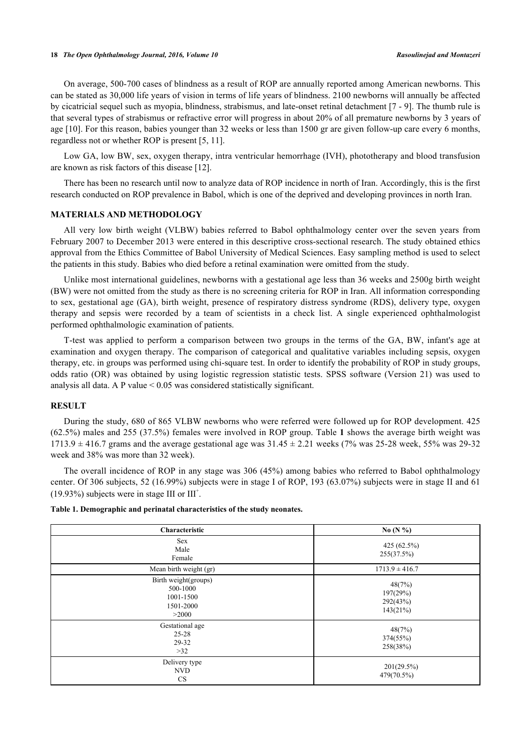On average, 500-700 cases of blindness as a result of ROP are annually reported among American newborns. This can be stated as 30,000 life years of vision in terms of life years of blindness. 2100 newborns will annually be affected by cicatricial sequel such as myopia, blindness, strabismus, and late-onset retinal detachment [[7](#page-3-6) - [9](#page-3-7)]. The thumb rule is that several types of strabismus or refractive error will progress in about 20% of all premature newborns by 3 years of age [[10\]](#page-3-8). For this reason, babies younger than 32 weeks or less than 1500 gr are given follow-up care every 6 months, regardless not or whether ROP is present [\[5](#page-3-4), [11](#page-3-9)].

Low GA, low BW, sex, oxygen therapy, intra ventricular hemorrhage (IVH), phototherapy and blood transfusion are known as risk factors of this disease [[12\]](#page-3-10).

There has been no research until now to analyze data of ROP incidence in north of Iran. Accordingly, this is the first research conducted on ROP prevalence in Babol, which is one of the deprived and developing provinces in north Iran.

#### **MATERIALS AND METHODOLOGY**

All very low birth weight (VLBW) babies referred to Babol ophthalmology center over the seven years from February 2007 to December 2013 were entered in this descriptive cross-sectional research. The study obtained ethics approval from the Ethics Committee of Babol University of Medical Sciences. Easy sampling method is used to select the patients in this study. Babies who died before a retinal examination were omitted from the study.

Unlike most international guidelines, newborns with a gestational age less than 36 weeks and 2500g birth weight (BW) were not omitted from the study as there is no screening criteria for ROP in Iran. All information corresponding to sex, gestational age (GA), birth weight, presence of respiratory distress syndrome (RDS), delivery type, oxygen therapy and sepsis were recorded by a team of scientists in a check list. A single experienced ophthalmologist performed ophthalmologic examination of patients.

T-test was applied to perform a comparison between two groups in the terms of the GA, BW, infant's age at examination and oxygen therapy. The comparison of categorical and qualitative variables including sepsis, oxygen therapy, etc. in groups was performed using chi-square test. In order to identify the probability of ROP in study groups, odds ratio (OR) was obtained by using logistic regression statistic tests. SPSS software (Version 21) was used to analysis all data. A P value  $< 0.05$  was considered statistically significant.

## **RESULT**

During the study, 680 of 865 VLBW newborns who were referred were followed up for ROP development. 425 (62.5%) males and 255 (37.5%) females were involved in ROP group. Table **[1](#page-1-0)** shows the average birth weight was  $1713.9 \pm 416.7$  grams and the average gestational age was  $31.45 \pm 2.21$  weeks (7% was 25-28 week, 55% was 29-32 week and 38% was more than 32 week).

The overall incidence of ROP in any stage was 306 (45%) among babies who referred to Babol ophthalmology center. Of 306 subjects, 52 (16.99%) subjects were in stage I of ROP, 193 (63.07%) subjects were in stage II and 61  $(19.93\%)$  subjects were in stage III or III<sup>+</sup>.

| Characteristic                                                      | No $(N\% )$                                |  |  |
|---------------------------------------------------------------------|--------------------------------------------|--|--|
| <b>Sex</b><br>Male<br>Female                                        | 425 (62.5%)<br>255(37.5%)                  |  |  |
| Mean birth weight (gr)                                              | $1713.9 \pm 416.7$                         |  |  |
| Birth weight(groups)<br>500-1000<br>1001-1500<br>1501-2000<br>>2000 | 48(7%)<br>197(29%)<br>292(43%)<br>143(21%) |  |  |
| Gestational age<br>$25 - 28$<br>29-32<br>>32                        | 48(7%)<br>374(55%)<br>258(38%)             |  |  |
| Delivery type<br><b>NVD</b><br><b>CS</b>                            | 201(29.5%)<br>479(70.5%)                   |  |  |

<span id="page-1-0"></span>**Table 1. Demographic and perinatal characteristics of the study neonates.**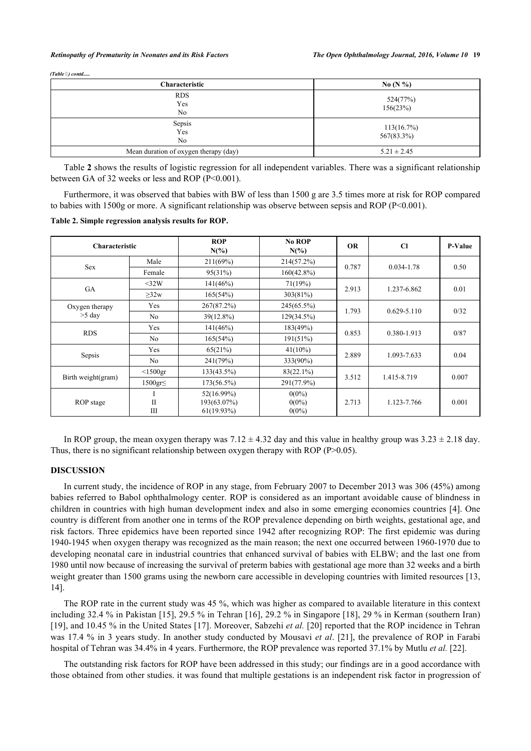| (Table 3) contd |  |
|-----------------|--|

| Characteristic                        | No $(N\%)$               |  |  |
|---------------------------------------|--------------------------|--|--|
| <b>RDS</b><br>Yes<br>N <sub>0</sub>   | 524(77%)<br>156(23%)     |  |  |
| Sepsis<br>Yes<br>N <sub>o</sub>       | 113(16.7%)<br>567(83.3%) |  |  |
| Mean duration of oxygen therapy (day) | $5.21 \pm 2.45$          |  |  |

Table **[2](#page-2-0)** shows the results of logistic regression for all independent variables. There was a significant relationship between GA of 32 weeks or less and ROP (P<0.001).

Furthermore, it was observed that babies with BW of less than 1500 g are 3.5 times more at risk for ROP compared to babies with 1500g or more. A significant relationship was observe between sepsis and ROP (P<0.001).

<span id="page-2-0"></span>**Table 2. Simple regression analysis results for ROP.**

| <b>Characteristic</b>      |                   | <b>ROP</b><br>$N(\%)$                      | No ROP<br>$N(\%)$                | <b>OR</b> | $\mathbf{C}$    | <b>P-Value</b> |
|----------------------------|-------------------|--------------------------------------------|----------------------------------|-----------|-----------------|----------------|
| <b>Sex</b>                 | Male              | 211(69%)                                   | 214(57.2%)                       | 0.787     | 0.034-1.78      | 0.50           |
|                            | Female            | 95(31%)                                    | $160(42.8\%)$                    |           |                 |                |
| <b>GA</b>                  | $<$ 32W           | 141(46%)                                   | 71(19%)                          |           | 1.237-6.862     | 0.01           |
|                            | $\geq$ 32w        | 165(54%)                                   | 303(81%)                         | 2.913     |                 |                |
| Oxygen therapy<br>$>5$ day | Yes               | 267(87.2%)                                 | 245(65.5%)                       | 1.793     | $0.629 - 5.110$ | 0/32           |
|                            | No                | 39(12.8%)                                  | 129(34.5%)                       |           |                 |                |
| <b>RDS</b>                 | Yes               | 141(46%)                                   | 183(49%)                         | 0.853     | 0.380-1.913     | 0/87           |
|                            | N <sub>o</sub>    | 165(54%)                                   | 191(51%)                         |           |                 |                |
| Sepsis                     | <b>Yes</b>        | 65(21%)                                    | $41(10\%)$                       | 2.889     | 1.093-7.633     | 0.04           |
|                            | N <sub>o</sub>    | 241(79%)                                   | 333(90%)                         |           |                 |                |
| Birth weight(gram)         | $<$ 1500gr        | 133(43.5%)                                 | $83(22.1\%)$                     |           | 1.415-8.719     | 0.007          |
|                            | $1500$ gr $\leq$  | $173(56.5\%)$                              | 291(77.9%)                       | 3.512     |                 |                |
| ROP stage                  | $\mathbf{I}$<br>Ш | 52(16.99%)<br>193(63.07%)<br>$61(19.93\%)$ | $0(0\%)$<br>$0(0\%)$<br>$0(0\%)$ | 2.713     | 1.123-7.766     | 0.001          |

In ROP group, the mean oxygen therapy was  $7.12 \pm 4.32$  day and this value in healthy group was  $3.23 \pm 2.18$  day. Thus, there is no significant relationship between oxygen therapy with ROP (P>0.05).

### **DISCUSSION**

In current study, the incidence of ROP in any stage, from February 2007 to December 2013 was 306 (45%) among babies referred to Babol ophthalmology center. ROP is considered as an important avoidable cause of blindness in children in countries with high human development index and also in some emerging economies countries [\[4](#page-3-3)]. One country is different from another one in terms of the ROP prevalence depending on birth weights, gestational age, and risk factors. Three epidemics have been reported since 1942 after recognizing ROP: The first epidemic was during 1940-1945 when oxygen therapy was recognized as the main reason; the next one occurred between 1960-1970 due to developing neonatal care in industrial countries that enhanced survival of babies with ELBW; and the last one from 1980 until now because of increasing the survival of preterm babies with gestational age more than 32 weeks and a birth weight greater than 1500 grams using the newborn care accessible in developing countries with limited resources [[13](#page-4-0), [14\]](#page-4-1).

The ROP rate in the current study was 45 %, which was higher as compared to available literature in this context including 32.4 % in Pakistan [[15\]](#page-4-2), 29.5 % in Tehran [\[16\]](#page-4-3), 29.2 % in Singapore [[18\]](#page-4-4), 29 % in Kerman (southern Iran) [\[19](#page-4-5)], and 10.45 % in the United States [[17](#page-4-6)]. Moreover, Sabzehi *et al.* [[20\]](#page-4-7) reported that the ROP incidence in Tehran was 17.4 % in 3 years study. In another study conducted by Mousavi *et al*. [[21](#page-4-8)], the prevalence of ROP in Farabi hospital of Tehran was 34.4% in 4 years. Furthermore, the ROP prevalence was reported 37.1% by Mutlu *et al.* [[22\]](#page-4-9).

The outstanding risk factors for ROP have been addressed in this study; our findings are in a good accordance with those obtained from other studies. it was found that multiple gestations is an independent risk factor in progression of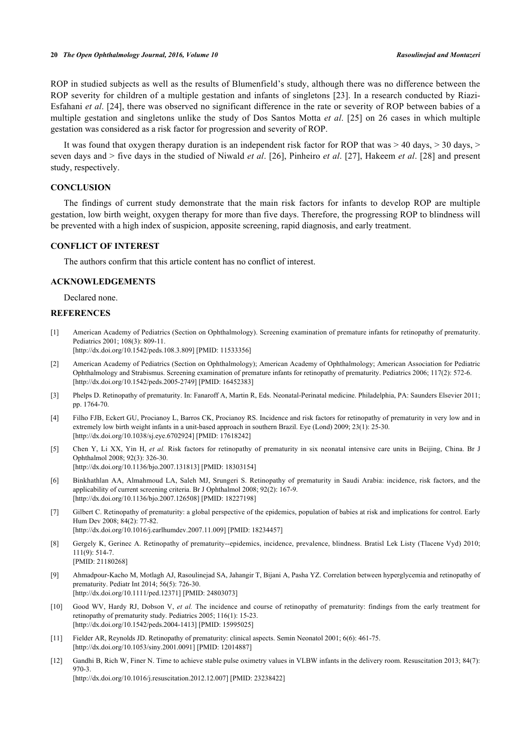ROP in studied subjects as well as the results of Blumenfield's study, although there was no difference between the ROP severity for children of a multiple gestation and infants of singletons [[23](#page-4-10)]. In a research conducted by Riazi-Esfahani *et al*. [\[24](#page-4-11)], there was observed no significant difference in the rate or severity of ROP between babies of a multiple gestation and singletons unlike the study of Dos Santos Motta *et al*.[[25\]](#page-4-12) on 26 cases in which multiple gestation was considered as a risk factor for progression and severity of ROP.

It was found that oxygen therapy duration is an independent risk factor for ROP that was  $> 40$  days,  $> 30$  days,  $>$ seven days and > five days in the studied of Niwald *et al*. [\[26](#page-4-13)], Pinheiro *et al*. [\[27](#page-4-14)], Hakeem *et al*. [\[28\]](#page-4-15) and present study, respectively.

#### **CONCLUSION**

The findings of current study demonstrate that the main risk factors for infants to develop ROP are multiple gestation, low birth weight, oxygen therapy for more than five days. Therefore, the progressing ROP to blindness will be prevented with a high index of suspicion, apposite screening, rapid diagnosis, and early treatment.

#### **CONFLICT OF INTEREST**

The authors confirm that this article content has no conflict of interest.

## **ACKNOWLEDGEMENTS**

Declared none.

### **REFERENCES**

<span id="page-3-0"></span>[1] American Academy of Pediatrics (Section on Ophthalmology). Screening examination of premature infants for retinopathy of prematurity. Pediatrics 2001; 108(3): 809-11.

[\[http://dx.doi.org/10.1542/peds.108.3.809](http://dx.doi.org/10.1542/peds.108.3.809)] [PMID: [11533356](http://www.ncbi.nlm.nih.gov/pubmed/11533356)]

- <span id="page-3-1"></span>[2] American Academy of Pediatrics (Section on Ophthalmology); American Academy of Ophthalmology; American Association for Pediatric Ophthalmology and Strabismus. Screening examination of premature infants for retinopathy of prematurity. Pediatrics 2006; 117(2): 572-6. [\[http://dx.doi.org/10.1542/peds.2005-2749](http://dx.doi.org/10.1542/peds.2005-2749)] [PMID: [16452383\]](http://www.ncbi.nlm.nih.gov/pubmed/16452383)
- <span id="page-3-2"></span>[3] Phelps D. Retinopathy of prematurity. In: Fanaroff A, Martin R, Eds. Neonatal-Perinatal medicine. Philadelphia, PA: Saunders Elsevier 2011; pp. 1764-70.
- <span id="page-3-3"></span>[4] Filho FJB, Eckert GU, Procianoy L, Barros CK, Procianoy RS. Incidence and risk factors for retinopathy of prematurity in very low and in extremely low birth weight infants in a unit-based approach in southern Brazil. Eye (Lond) 2009; 23(1): 25-30. [\[http://dx.doi.org/10.1038/sj.eye.6702924](http://dx.doi.org/10.1038/sj.eye.6702924)] [PMID: [17618242\]](http://www.ncbi.nlm.nih.gov/pubmed/17618242)
- <span id="page-3-4"></span>[5] Chen Y, Li XX, Yin H, *et al.* Risk factors for retinopathy of prematurity in six neonatal intensive care units in Beijing, China. Br J Ophthalmol 2008; 92(3): 326-30. [\[http://dx.doi.org/10.1136/bjo.2007.131813](http://dx.doi.org/10.1136/bjo.2007.131813)] [PMID: [18303154\]](http://www.ncbi.nlm.nih.gov/pubmed/18303154)
- <span id="page-3-5"></span>[6] Binkhathlan AA, Almahmoud LA, Saleh MJ, Srungeri S. Retinopathy of prematurity in Saudi Arabia: incidence, risk factors, and the applicability of current screening criteria. Br J Ophthalmol 2008; 92(2): 167-9. [\[http://dx.doi.org/10.1136/bjo.2007.126508](http://dx.doi.org/10.1136/bjo.2007.126508)] [PMID: [18227198\]](http://www.ncbi.nlm.nih.gov/pubmed/18227198)
- <span id="page-3-6"></span>[7] Gilbert C. Retinopathy of prematurity: a global perspective of the epidemics, population of babies at risk and implications for control. Early Hum Dev 2008; 84(2): 77-82. [\[http://dx.doi.org/10.1016/j.earlhumdev.2007.11.009\]](http://dx.doi.org/10.1016/j.earlhumdev.2007.11.009) [PMID: [18234457](http://www.ncbi.nlm.nih.gov/pubmed/18234457)]
- [8] Gergely K, Gerinec A. Retinopathy of prematurity--epidemics, incidence, prevalence, blindness. Bratisl Lek Listy (Tlacene Vyd) 2010; 111(9): 514-7. [PMID: [21180268\]](http://www.ncbi.nlm.nih.gov/pubmed/21180268)
- <span id="page-3-7"></span>[9] Ahmadpour-Kacho M, Motlagh AJ, Rasoulinejad SA, Jahangir T, Bijani A, Pasha YZ. Correlation between hyperglycemia and retinopathy of prematurity. Pediatr Int 2014; 56(5): 726-30. [\[http://dx.doi.org/10.1111/ped.12371](http://dx.doi.org/10.1111/ped.12371)] [PMID: [24803073\]](http://www.ncbi.nlm.nih.gov/pubmed/24803073)
- <span id="page-3-8"></span>[10] Good WV, Hardy RJ, Dobson V, *et al.* The incidence and course of retinopathy of prematurity: findings from the early treatment for retinopathy of prematurity study. Pediatrics 2005; 116(1): 15-23. [\[http://dx.doi.org/10.1542/peds.2004-1413](http://dx.doi.org/10.1542/peds.2004-1413)] [PMID: [15995025\]](http://www.ncbi.nlm.nih.gov/pubmed/15995025)
- <span id="page-3-9"></span>[11] Fielder AR, Reynolds JD. Retinopathy of prematurity: clinical aspects. Semin Neonatol 2001; 6(6): 461-75. [\[http://dx.doi.org/10.1053/siny.2001.0091](http://dx.doi.org/10.1053/siny.2001.0091)] [PMID: [12014887\]](http://www.ncbi.nlm.nih.gov/pubmed/12014887)
- <span id="page-3-10"></span>[12] Gandhi B, Rich W, Finer N. Time to achieve stable pulse oximetry values in VLBW infants in the delivery room. Resuscitation 2013; 84(7): 970-3.

[\[http://dx.doi.org/10.1016/j.resuscitation.2012.12.007](http://dx.doi.org/10.1016/j.resuscitation.2012.12.007)] [PMID: [23238422](http://www.ncbi.nlm.nih.gov/pubmed/23238422)]